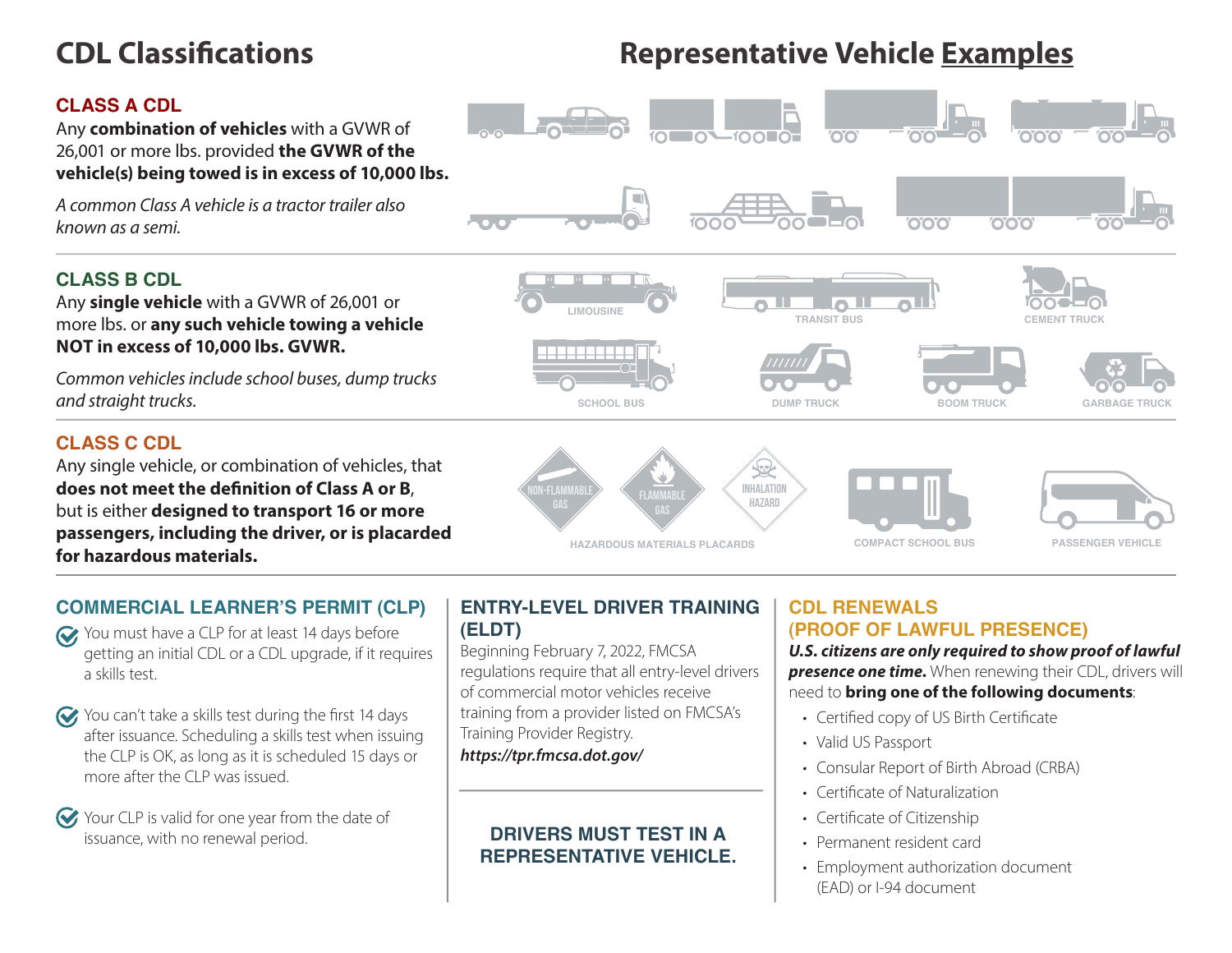# **CDL Classifications Representative Vehicle Examples**

 $\overline{10010}$ 

# **CLASS A CDL**

Any **combination of vehicles** with a GVWR of 26,001 or more lbs. provided **the GVWR of the vehicle(s) being towed is in excess of 10,000 lbs.**

*A common Class A vehicle is a tractor trailer also known as a semi.*

## **CLASS B CDL**

Any **single vehicle** with a GVWR of 26,001 or more lbs. or **any such vehicle towing a vehicle NOT in excess of 10,000 lbs. GVWR.** 

*Common vehicles include school buses, dump trucks and straight trucks.*

### **CLASS C CDL**

Any single vehicle, or combination of vehicles, that **does not meet the definition of Class A or B**, but is either **designed to transport 16 or more passengers, including the driver, or is placarded for hazardous materials.**



In

#### **COMMERCIAL LEARNER'S PERMIT (CLP)**

- You must have a CLP for at least 14 days before getting an initial CDL or a CDL upgrade, if it requires a skills test.
- You can't take a skills test during the first 14 days after issuance. Scheduling a skills test when issuing the CLP is OK, as long as it is scheduled 15 days or more after the CLP was issued.
- Your CLP is valid for one year from the date of issuance, with no renewal period.

#### **ENTRY-LEVEL DRIVER TRAINING (ELDT)**

**LIMOUSINE**

Beginning February 7, 2022, FMCSA regulations require that all entry-level drivers of commercial motor vehicles receive training from a provider listed on FMCSA's Training Provider Registry.

#### *https://tpr.fmcsa.dot.gov/*

# **DRIVERS MUST TEST IN A REPRESENTATIVE VEHICLE.**

# **CDL RENEWALS (PROOF OF LAWFUL PRESENCE)**

**TRANSIT BUS CEMENT TRUCK**

000

 $\bullet$   $\bullet$   $\bullet$ 

*U.S. citizens are only required to show proof of lawful presence one time.* When renewing their CDL, drivers will need to **bring one of the following documents**:

- Certified copy of US Birth Certificate
- Valid US Passport
- Consular Report of Birth Abroad (CRBA)
- Certificate of Naturalization
- Certificate of Citizenship
- Permanent resident card
- Employment authorization document (EAD) or I-94 document